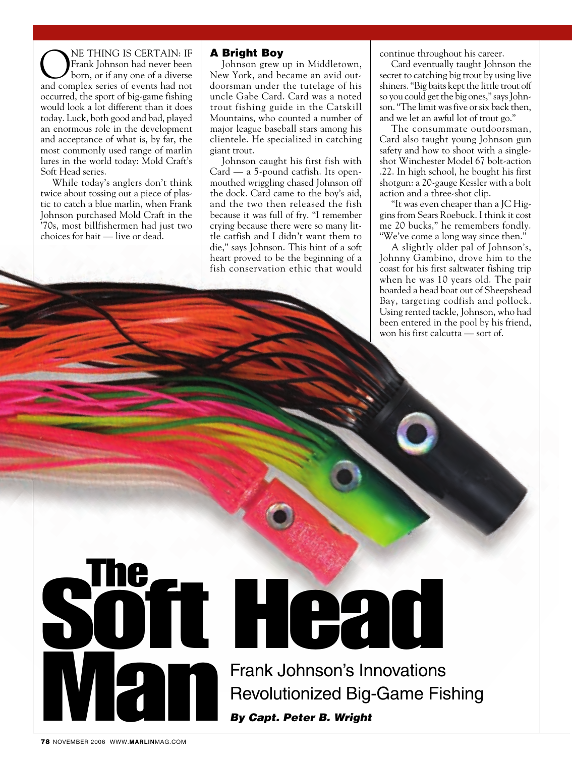NE THING IS CERTAIN: IF<br>Frank Johnson had never been<br>born, or if any one of a diverse Frank Johnson had never been born, or if any one of a diverse and complex series of events had not occurred, the sport of big-game fishing would look a lot different than it does today. Luck, both good and bad, played an enormous role in the development and acceptance of what is, by far, the most commonly used range of marlin lures in the world today: Mold Craft's Soft Head series.

While today's anglers don't think twice about tossing out a piece of plastic to catch a blue marlin, when Frank Johnson purchased Mold Craft in the '70s, most billfishermen had just two choices for bait — live or dead.

## **A Bright Boy**

Johnson grew up in Middletown, New York, and became an avid outdoorsman under the tutelage of his uncle Gabe Card. Card was a noted trout fishing guide in the Catskill Mountains, who counted a number of major league baseball stars among his clientele. He specialized in catching giant trout.

Johnson caught his first fish with Card — a 5-pound catfish. Its openmouthed wriggling chased Johnson off the dock. Card came to the boy's aid, and the two then released the fish because it was full of fry. "I remember crying because there were so many little catfish and I didn't want them to die," says Johnson. This hint of a soft heart proved to be the beginning of a fish conservation ethic that would continue throughout his career.

Card eventually taught Johnson the secret to catching big trout by using live shiners. "Big baits kept the little trout off so you could get the big ones," says Johnson. "The limit was five or six back then, and we let an awful lot of trout go."

The consummate outdoorsman, Card also taught young Johnson gun safety and how to shoot with a singleshot Winchester Model 67 bolt-action .22. In high school, he bought his first shotgun: a 20-gauge Kessler with a bolt action and a three-shot clip.

"It was even cheaper than a JC Higgins from Sears Roebuck. I think it cost me 20 bucks," he remembers fondly. "We've come a long way since then."

A slightly older pal of Johnson's, Johnny Gambino, drove him to the coast for his first saltwater fishing trip when he was 10 years old. The pair boarded a head boat out of Sheepshead Bay, targeting codfish and pollock. Using rented tackle, Johnson, who had been entered in the pool by his friend, won his first calcutta — sort of.

## **The Soft Head Man** Frank Johnson's Innovations Revolutionized Big-Game Fishing *By Capt. Peter B. Wright*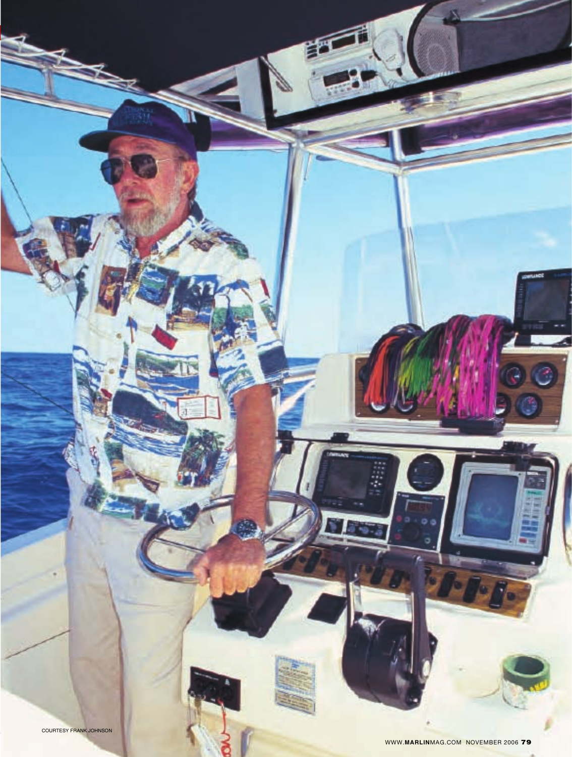WWW.**MARLIN**MAG.COM NOVEMBER 2006 **79**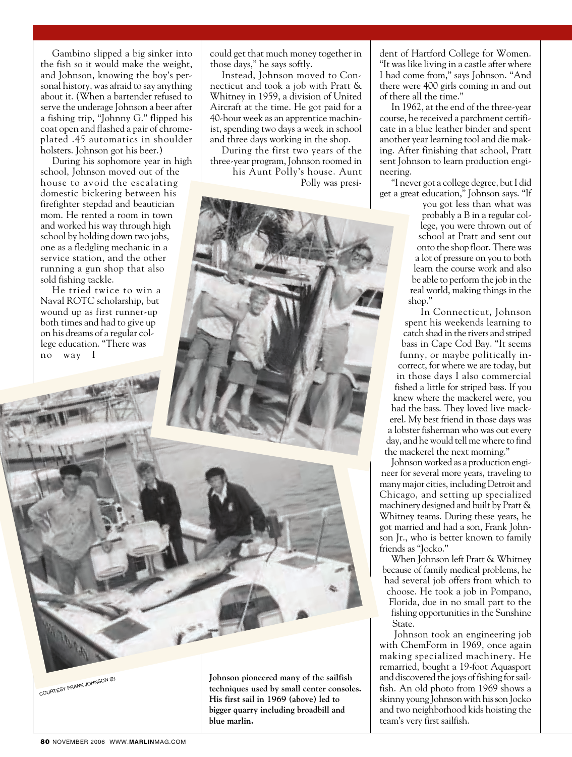Gambino slipped a big sinker into the fish so it would make the weight, and Johnson, knowing the boy's personal history, was afraid to say anything about it. (When a bartender refused to serve the underage Johnson a beer after a fishing trip, "Johnny G." flipped his coat open and flashed a pair of chromeplated .45 automatics in shoulder holsters. Johnson got his beer.)

During his sophomore year in high school, Johnson moved out of the house to avoid the escalating domestic bickering between his firefighter stepdad and beautician mom. He rented a room in town and worked his way through high school by holding down two jobs, one as a fledgling mechanic in a service station, and the other running a gun shop that also sold fishing tackle.

He tried twice to win a Naval ROTC scholarship, but wound up as first runner-up both times and had to give up on his dreams of a regular college education. "There was no way I

could get that much money together in those days," he says softly.

Instead, Johnson moved to Connecticut and took a job with Pratt & Whitney in 1959, a division of United Aircraft at the time. He got paid for a 40-hour week as an apprentice machinist, spending two days a week in school and three days working in the shop.

During the first two years of the three-year program, Johnson roomed in his Aunt Polly's house. Aunt Polly was presi-

COURTESY FRANK JOHNSON (2)

**Johnson pioneered many of the sailfish techniques used by small center consoles. His first sail in 1969 (above) led to bigger quarry including broadbill and blue marlin.**

dent of Hartford College for Women. "It was like living in a castle after where I had come from," says Johnson. "And there were 400 girls coming in and out of there all the time."

In 1962, at the end of the three-year course, he received a parchment certificate in a blue leather binder and spent another year learning tool and die making. After finishing that school, Pratt sent Johnson to learn production engineering.

"I never got a college degree, but I did get a great education," Johnson says. "If

> you got less than what was probably a B in a regular college, you were thrown out of school at Pratt and sent out onto the shop floor. There was a lot of pressure on you to both learn the course work and also be able to perform the job in the real world, making things in the shop."

In Connecticut, Johnson spent his weekends learning to catch shad in the rivers and striped bass in Cape Cod Bay. "It seems funny, or maybe politically incorrect, for where we are today, but in those days I also commercial fished a little for striped bass. If you knew where the mackerel were, you had the bass. They loved live mackerel. My best friend in those days was a lobster fisherman who was out every day, and he would tell me where to find the mackerel the next morning."

Johnson worked as a production engineer for several more years, traveling to many major cities, including Detroit and Chicago, and setting up specialized machinery designed and built by Pratt & Whitney teams. During these years, he got married and had a son, Frank Johnson Jr., who is better known to family friends as "Jocko."

When Johnson left Pratt & Whitney because of family medical problems, he had several job offers from which to choose. He took a job in Pompano, Florida, due in no small part to the fishing opportunities in the Sunshine State.

Johnson took an engineering job with ChemForm in 1969, once again making specialized machinery. He remarried, bought a 19-foot Aquasport and discovered the joys of fishing for sailfish. An old photo from 1969 shows a skinny young Johnson with his son Jocko and two neighborhood kids hoisting the team's very first sailfish.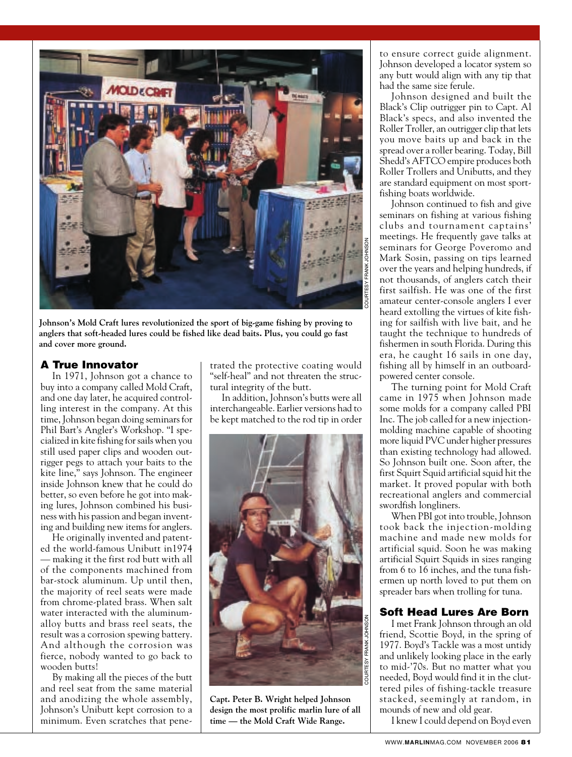

**Johnson's Mold Craft lures revolutionized the sport of big-game fishing by proving to anglers that soft-headed lures could be fished like dead baits. Plus, you could go fast and cover more ground.**

## **A True Innovator**

In 1971, Johnson got a chance to buy into a company called Mold Craft, and one day later, he acquired controlling interest in the company. At this time, Johnson began doing seminars for Phil Bart's Angler's Workshop. "I specialized in kite fishing for sails when you still used paper clips and wooden outrigger pegs to attach your baits to the kite line," says Johnson. The engineer inside Johnson knew that he could do better, so even before he got into making lures, Johnson combined his business with his passion and began inventing and building new items for anglers.

He originally invented and patented the world-famous Unibutt in1974 — making it the first rod butt with all of the components machined from bar-stock aluminum. Up until then, the majority of reel seats were made from chrome-plated brass. When salt water interacted with the aluminumalloy butts and brass reel seats, the result was a corrosion spewing battery. And although the corrosion was fierce, nobody wanted to go back to wooden butts!

By making all the pieces of the butt and reel seat from the same material and anodizing the whole assembly, Johnson's Unibutt kept corrosion to a minimum. Even scratches that penetrated the protective coating would "self-heal" and not threaten the structural integrity of the butt.

In addition, Johnson's butts were all interchangeable. Earlier versions had to be kept matched to the rod tip in order



**Capt. Peter B. Wright helped Johnson design the most prolific marlin lure of all time — the Mold Craft Wide Range.**

to ensure correct guide alignment. Johnson developed a locator system so any butt would align with any tip that had the same size ferule.

Johnson designed and built the Black's Clip outrigger pin to Capt. Al Black's specs, and also invented the Roller Troller, an outrigger clip that lets you move baits up and back in the spread over a roller bearing. Today, Bill Shedd's AFTCO empire produces both Roller Trollers and Unibutts, and they are standard equipment on most sportfishing boats worldwide.

Johnson continued to fish and give seminars on fishing at various fishing clubs and tournament captains' meetings. He frequently gave talks at seminars for George Poveromo and Mark Sosin, passing on tips learned over the years and helping hundreds, if not thousands, of anglers catch their first sailfish. He was one of the first amateur center-console anglers I ever heard extolling the virtues of kite fishing for sailfish with live bait, and he taught the technique to hundreds of fishermen in south Florida. During this era, he caught 16 sails in one day, fishing all by himself in an outboardpowered center console.

The turning point for Mold Craft came in 1975 when Johnson made some molds for a company called PBI Inc. The job called for a new injectionmolding machine capable of shooting more liquid PVC under higher pressures than existing technology had allowed. So Johnson built one. Soon after, the first Squirt Squid artificial squid hit the market. It proved popular with both recreational anglers and commercial swordfish longliners.

When PBI got into trouble, Johnson took back the injection-molding machine and made new molds for artificial squid. Soon he was making artificial Squirt Squids in sizes ranging from 6 to 16 inches, and the tuna fishermen up north loved to put them on spreader bars when trolling for tuna.

## **Soft Head Lures Are Born**

I met Frank Johnson through an old friend, Scottie Boyd, in the spring of 1977. Boyd's Tackle was a most untidy and unlikely looking place in the early to mid-'70s. But no matter what you needed, Boyd would find it in the cluttered piles of fishing-tackle treasure stacked, seemingly at random, in mounds of new and old gear.

I knew I could depend on Boyd even